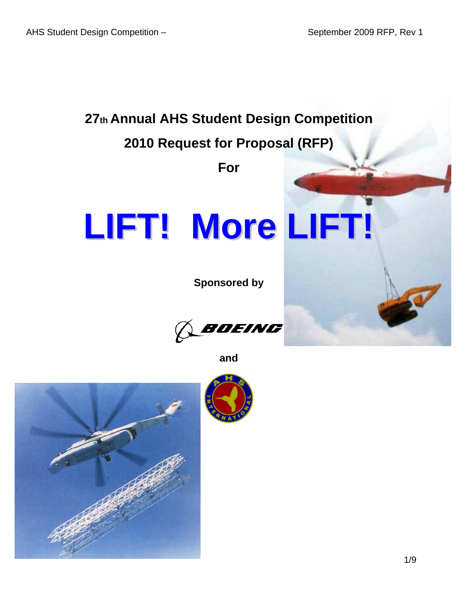

**and** 

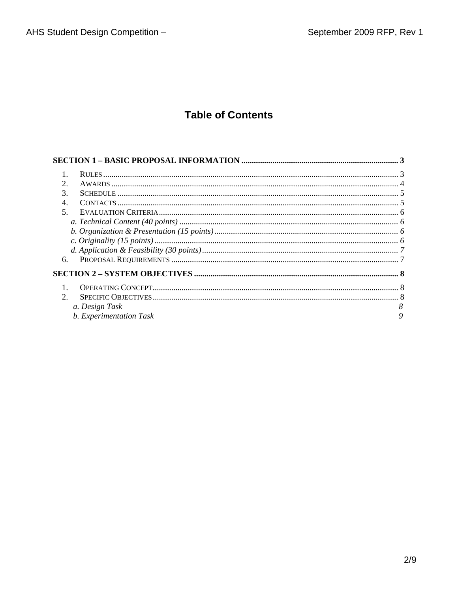# **Table of Contents**

| $\mathcal{D}_{\mathcal{L}}$ |                         |   |
|-----------------------------|-------------------------|---|
| 3.                          |                         |   |
| $\overline{4}$              |                         |   |
| $5^{\circ}$                 |                         |   |
|                             |                         |   |
|                             |                         |   |
|                             |                         |   |
|                             |                         |   |
| 6.                          |                         |   |
|                             |                         |   |
|                             |                         |   |
| 2.                          |                         |   |
|                             | a. Design Task          |   |
|                             | b. Experimentation Task | 9 |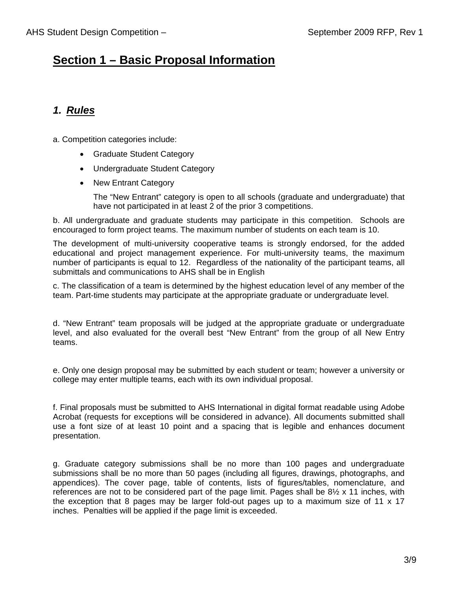## **Section 1 – Basic Proposal Information**

## *1. Rules*

- a. Competition categories include:
	- Graduate Student Category
	- Undergraduate Student Category
	- New Entrant Category

The "New Entrant" category is open to all schools (graduate and undergraduate) that have not participated in at least 2 of the prior 3 competitions.

b. All undergraduate and graduate students may participate in this competition. Schools are encouraged to form project teams. The maximum number of students on each team is 10.

The development of multi-university cooperative teams is strongly endorsed, for the added educational and project management experience. For multi-university teams, the maximum number of participants is equal to 12. Regardless of the nationality of the participant teams, all submittals and communications to AHS shall be in English

c. The classification of a team is determined by the highest education level of any member of the team. Part-time students may participate at the appropriate graduate or undergraduate level.

d. "New Entrant" team proposals will be judged at the appropriate graduate or undergraduate level, and also evaluated for the overall best "New Entrant" from the group of all New Entry teams.

e. Only one design proposal may be submitted by each student or team; however a university or college may enter multiple teams, each with its own individual proposal.

f. Final proposals must be submitted to AHS International in digital format readable using Adobe Acrobat (requests for exceptions will be considered in advance). All documents submitted shall use a font size of at least 10 point and a spacing that is legible and enhances document presentation.

g. Graduate category submissions shall be no more than 100 pages and undergraduate submissions shall be no more than 50 pages (including all figures, drawings, photographs, and appendices). The cover page, table of contents, lists of figures/tables, nomenclature, and references are not to be considered part of the page limit. Pages shall be  $8\frac{1}{2} \times 11$  inches, with the exception that 8 pages may be larger fold-out pages up to a maximum size of 11 x 17 inches. Penalties will be applied if the page limit is exceeded.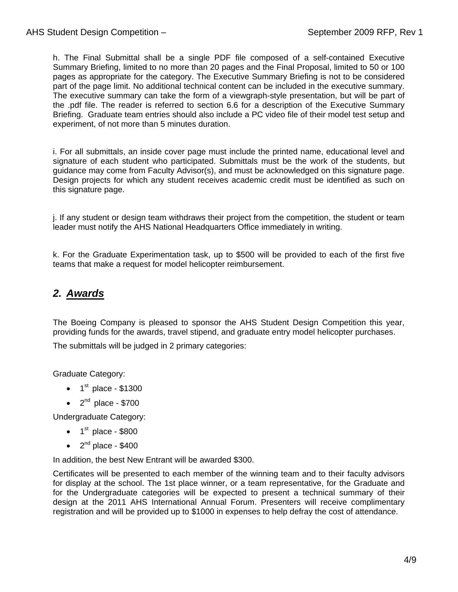h. The Final Submittal shall be a single PDF file composed of a self-contained Executive Summary Briefing, limited to no more than 20 pages and the Final Proposal, limited to 50 or 100 pages as appropriate for the category. The Executive Summary Briefing is not to be considered part of the page limit. No additional technical content can be included in the executive summary. The executive summary can take the form of a viewgraph-style presentation, but will be part of the .pdf file. The reader is referred to section 6.6 for a description of the Executive Summary Briefing. Graduate team entries should also include a PC video file of their model test setup and experiment, of not more than 5 minutes duration.

i. For all submittals, an inside cover page must include the printed name, educational level and signature of each student who participated. Submittals must be the work of the students, but guidance may come from Faculty Advisor(s), and must be acknowledged on this signature page. Design projects for which any student receives academic credit must be identified as such on this signature page.

j. If any student or design team withdraws their project from the competition, the student or team leader must notify the AHS National Headquarters Office immediately in writing.

k. For the Graduate Experimentation task, up to \$500 will be provided to each of the first five teams that make a request for model helicopter reimbursement.

### *2. Awards*

The Boeing Company is pleased to sponsor the AHS Student Design Competition this year, providing funds for the awards, travel stipend, and graduate entry model helicopter purchases.

The submittals will be judged in 2 primary categories:

Graduate Category:

- $\bullet$  1<sup>st</sup> place \$1300
- $\bullet$  2<sup>nd</sup> place \$700

Undergraduate Category:

- $\bullet$  1<sup>st</sup> place \$800
- $\bullet$  2<sup>nd</sup> place \$400

In addition, the best New Entrant will be awarded \$300.

Certificates will be presented to each member of the winning team and to their faculty advisors for display at the school. The 1st place winner, or a team representative, for the Graduate and for the Undergraduate categories will be expected to present a technical summary of their design at the 2011 AHS International Annual Forum. Presenters will receive complimentary registration and will be provided up to \$1000 in expenses to help defray the cost of attendance.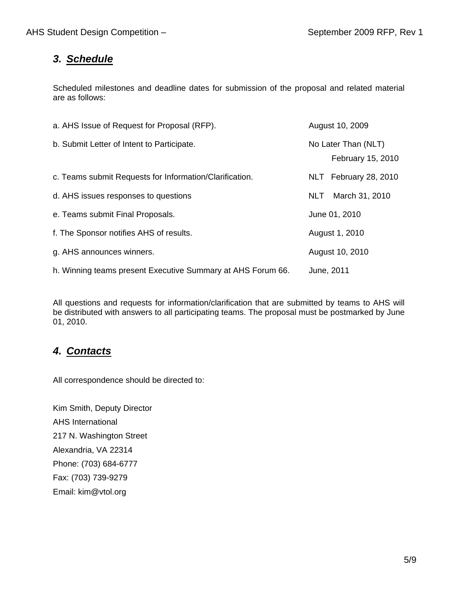### *3. Schedule*

Scheduled milestones and deadline dates for submission of the proposal and related material are as follows:

| a. AHS Issue of Request for Proposal (RFP).                 | August 10, 2009                          |  |
|-------------------------------------------------------------|------------------------------------------|--|
| b. Submit Letter of Intent to Participate.                  | No Later Than (NLT)<br>February 15, 2010 |  |
| c. Teams submit Requests for Information/Clarification.     | NLT February 28, 2010                    |  |
| d. AHS issues responses to questions                        | March 31, 2010<br>NLT.                   |  |
| e. Teams submit Final Proposals.                            | June 01, 2010                            |  |
| f. The Sponsor notifies AHS of results.                     | August 1, 2010                           |  |
| g. AHS announces winners.                                   | August 10, 2010                          |  |
| h. Winning teams present Executive Summary at AHS Forum 66. | June, 2011                               |  |

All questions and requests for information/clarification that are submitted by teams to AHS will be distributed with answers to all participating teams. The proposal must be postmarked by June 01, 2010.

### *4. Contacts*

All correspondence should be directed to:

Kim Smith, Deputy Director AHS International 217 N. Washington Street Alexandria, VA 22314 Phone: (703) 684-6777 Fax: (703) 739-9279 Email: kim@vtol.org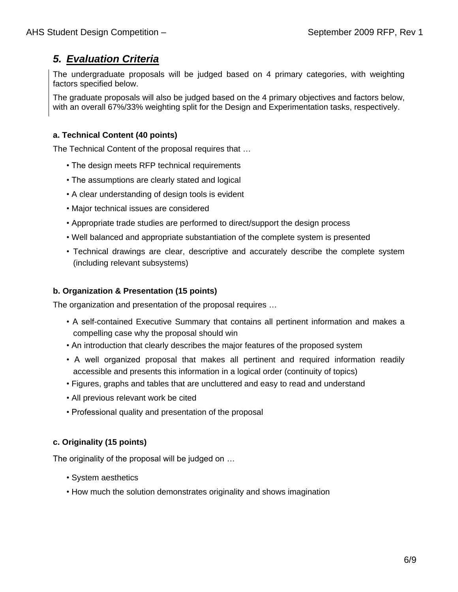### *5. Evaluation Criteria*

The undergraduate proposals will be judged based on 4 primary categories, with weighting factors specified below.

The graduate proposals will also be judged based on the 4 primary objectives and factors below, with an overall 67%/33% weighting split for the Design and Experimentation tasks, respectively.

### **a. Technical Content (40 points)**

The Technical Content of the proposal requires that …

- The design meets RFP technical requirements
- The assumptions are clearly stated and logical
- A clear understanding of design tools is evident
- Major technical issues are considered
- Appropriate trade studies are performed to direct/support the design process
- Well balanced and appropriate substantiation of the complete system is presented
- Technical drawings are clear, descriptive and accurately describe the complete system (including relevant subsystems)

#### **b. Organization & Presentation (15 points)**

The organization and presentation of the proposal requires …

- A self-contained Executive Summary that contains all pertinent information and makes a compelling case why the proposal should win
- An introduction that clearly describes the major features of the proposed system
- A well organized proposal that makes all pertinent and required information readily accessible and presents this information in a logical order (continuity of topics)
- Figures, graphs and tables that are uncluttered and easy to read and understand
- All previous relevant work be cited
- Professional quality and presentation of the proposal

#### **c. Originality (15 points)**

The originality of the proposal will be judged on …

- System aesthetics
- How much the solution demonstrates originality and shows imagination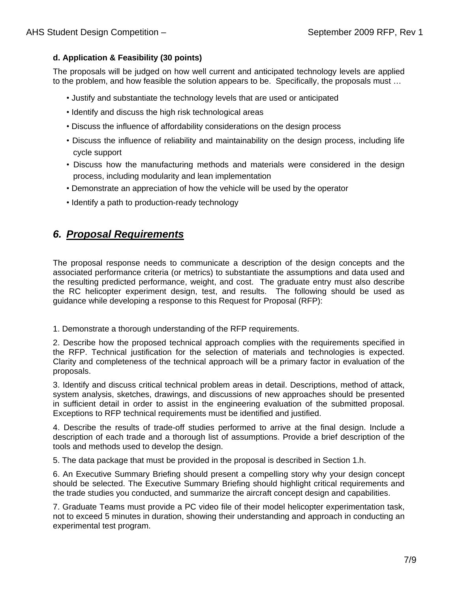#### **d. Application & Feasibility (30 points)**

The proposals will be judged on how well current and anticipated technology levels are applied to the problem, and how feasible the solution appears to be. Specifically, the proposals must …

- Justify and substantiate the technology levels that are used or anticipated
- Identify and discuss the high risk technological areas
- Discuss the influence of affordability considerations on the design process
- Discuss the influence of reliability and maintainability on the design process, including life cycle support
- Discuss how the manufacturing methods and materials were considered in the design process, including modularity and lean implementation
- Demonstrate an appreciation of how the vehicle will be used by the operator
- Identify a path to production-ready technology

### *6. Proposal Requirements*

The proposal response needs to communicate a description of the design concepts and the associated performance criteria (or metrics) to substantiate the assumptions and data used and the resulting predicted performance, weight, and cost. The graduate entry must also describe the RC helicopter experiment design, test, and results. The following should be used as guidance while developing a response to this Request for Proposal (RFP):

1. Demonstrate a thorough understanding of the RFP requirements.

2. Describe how the proposed technical approach complies with the requirements specified in the RFP. Technical justification for the selection of materials and technologies is expected. Clarity and completeness of the technical approach will be a primary factor in evaluation of the proposals.

3. Identify and discuss critical technical problem areas in detail. Descriptions, method of attack, system analysis, sketches, drawings, and discussions of new approaches should be presented in sufficient detail in order to assist in the engineering evaluation of the submitted proposal. Exceptions to RFP technical requirements must be identified and justified.

4. Describe the results of trade-off studies performed to arrive at the final design. Include a description of each trade and a thorough list of assumptions. Provide a brief description of the tools and methods used to develop the design.

5. The data package that must be provided in the proposal is described in Section 1.h.

6. An Executive Summary Briefing should present a compelling story why your design concept should be selected. The Executive Summary Briefing should highlight critical requirements and the trade studies you conducted, and summarize the aircraft concept design and capabilities.

7. Graduate Teams must provide a PC video file of their model helicopter experimentation task, not to exceed 5 minutes in duration, showing their understanding and approach in conducting an experimental test program.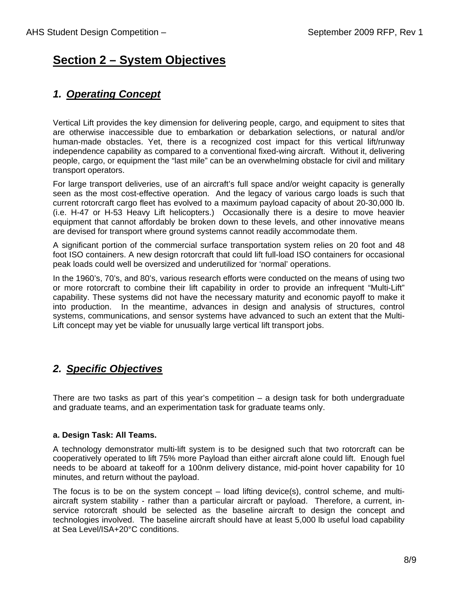## **Section 2 – System Objectives**

### *1. Operating Concept*

Vertical Lift provides the key dimension for delivering people, cargo, and equipment to sites that are otherwise inaccessible due to embarkation or debarkation selections, or natural and/or human-made obstacles. Yet, there is a recognized cost impact for this vertical lift/runway independence capability as compared to a conventional fixed-wing aircraft. Without it, delivering people, cargo, or equipment the "last mile" can be an overwhelming obstacle for civil and military transport operators.

For large transport deliveries, use of an aircraft's full space and/or weight capacity is generally seen as the most cost-effective operation. And the legacy of various cargo loads is such that current rotorcraft cargo fleet has evolved to a maximum payload capacity of about 20-30,000 lb. (i.e. H-47 or H-53 Heavy Lift helicopters.) Occasionally there is a desire to move heavier equipment that cannot affordably be broken down to these levels, and other innovative means are devised for transport where ground systems cannot readily accommodate them.

A significant portion of the commercial surface transportation system relies on 20 foot and 48 foot ISO containers. A new design rotorcraft that could lift full-load ISO containers for occasional peak loads could well be oversized and underutilized for 'normal' operations.

In the 1960's, 70's, and 80's, various research efforts were conducted on the means of using two or more rotorcraft to combine their lift capability in order to provide an infrequent "Multi-Lift" capability. These systems did not have the necessary maturity and economic payoff to make it into production. In the meantime, advances in design and analysis of structures, control systems, communications, and sensor systems have advanced to such an extent that the Multi-Lift concept may yet be viable for unusually large vertical lift transport jobs.

### *2. Specific Objectives*

There are two tasks as part of this year's competition – a design task for both undergraduate and graduate teams, and an experimentation task for graduate teams only.

#### **a. Design Task: All Teams.**

A technology demonstrator multi-lift system is to be designed such that two rotorcraft can be cooperatively operated to lift 75% more Payload than either aircraft alone could lift. Enough fuel needs to be aboard at takeoff for a 100nm delivery distance, mid-point hover capability for 10 minutes, and return without the payload.

The focus is to be on the system concept – load lifting device(s), control scheme, and multiaircraft system stability - rather than a particular aircraft or payload. Therefore, a current, inservice rotorcraft should be selected as the baseline aircraft to design the concept and technologies involved. The baseline aircraft should have at least 5,000 lb useful load capability at Sea Level/ISA+20°C conditions.